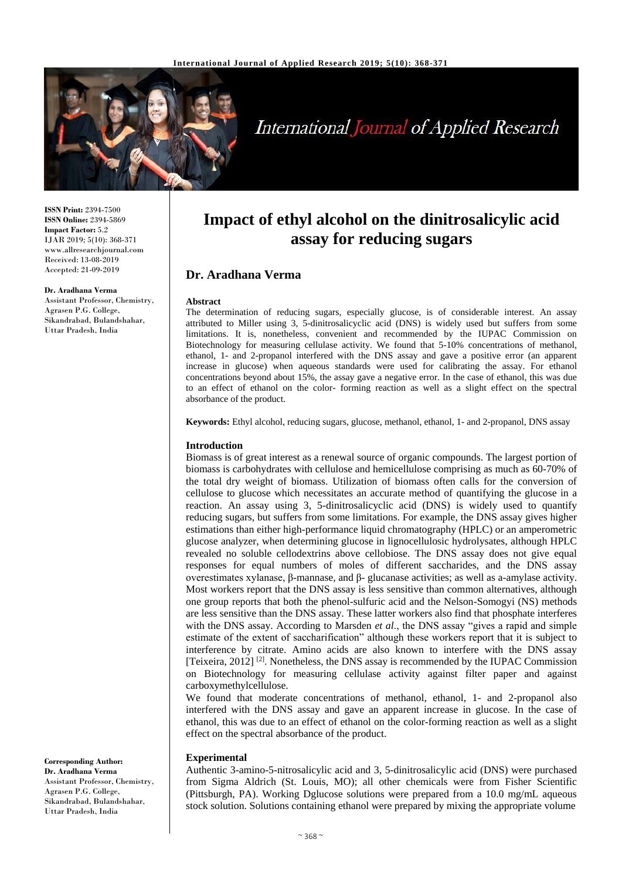

# **International Journal of Applied Research**

**Impact of ethyl alcohol on the dinitrosalicylic acid assay for reducing sugars**

The determination of reducing sugars, especially glucose, is of considerable interest. An assay attributed to Miller using 3, 5-dinitrosalicyclic acid (DNS) is widely used but suffers from some limitations. It is, nonetheless, convenient and recommended by the IUPAC Commission on Biotechnology for measuring cellulase activity. We found that 5-10% concentrations of methanol, ethanol, 1- and 2-propanol interfered with the DNS assay and gave a positive error (an apparent increase in glucose) when aqueous standards were used for calibrating the assay. For ethanol concentrations beyond about 15%, the assay gave a negative error. In the case of ethanol, this was due to an effect of ethanol on the color- forming reaction as well as a slight effect on the spectral

**ISSN Print:** 2394-7500 **ISSN Online:** 2394-5869 **Impact Factor:** 5.2 IJAR 2019; 5(10): 368-371 www.allresearchjournal.com Received: 13-08-2019 Accepted: 21-09-2019

#### **Dr. Aradhana Verma**

Assistant Professor, Chemistry, Agrasen P.G. College, Sikandrabad, Bulandshahar, Uttar Pradesh, India

**Keywords:** Ethyl alcohol, reducing sugars, glucose, methanol, ethanol, 1- and 2-propanol, DNS assay

# **Introduction**

absorbance of the product.

**Abstract**

**Dr. Aradhana Verma**

Biomass is of great interest as a renewal source of organic compounds. The largest portion of biomass is carbohydrates with cellulose and hemicellulose comprising as much as 60-70% of the total dry weight of biomass. Utilization of biomass often calls for the conversion of cellulose to glucose which necessitates an accurate method of quantifying the glucose in a reaction. An assay using 3, 5-dinitrosalicyclic acid (DNS) is widely used to quantify reducing sugars, but suffers from some limitations. For example, the DNS assay gives higher estimations than either high-performance liquid chromatography (HPLC) or an amperometric glucose analyzer, when determining glucose in lignocellulosic hydrolysates, although HPLC revealed no soluble cellodextrins above cellobiose. The DNS assay does not give equal responses for equal numbers of moles of different saccharides, and the DNS assay overestimates xylanase, β-mannase, and β- glucanase activities; as well as a-amylase activity. Most workers report that the DNS assay is less sensitive than common alternatives, although one group reports that both the phenol-sulfuric acid and the Nelson-Somogyi (NS) methods are less sensitive than the DNS assay. These latter workers also find that phosphate interferes with the DNS assay. According to Marsden *et al*., the DNS assay "gives a rapid and simple estimate of the extent of saccharification" although these workers report that it is subject to interference by citrate. Amino acids are also known to interfere with the DNS assay [Teixeira, 2012]<sup>[2]</sup>. Nonetheless, the DNS assay is recommended by the IUPAC Commission on Biotechnology for measuring cellulase activity against filter paper and against carboxymethylcellulose.

We found that moderate concentrations of methanol, ethanol, 1- and 2-propanol also interfered with the DNS assay and gave an apparent increase in glucose. In the case of ethanol, this was due to an effect of ethanol on the color-forming reaction as well as a slight effect on the spectral absorbance of the product.

## **Experimental**

Authentic 3-amino-5-nitrosalicylic acid and 3, 5-dinitrosalicylic acid (DNS) were purchased from Sigma Aldrich (St. Louis, MO); all other chemicals were from Fisher Scientific (Pittsburgh, PA). Working Dglucose solutions were prepared from a 10.0 mg/mL aqueous stock solution. Solutions containing ethanol were prepared by mixing the appropriate volume

**Corresponding Author: Dr. Aradhana Verma** Assistant Professor, Chemistry, Agrasen P.G. College, Sikandrabad, Bulandshahar, Uttar Pradesh, India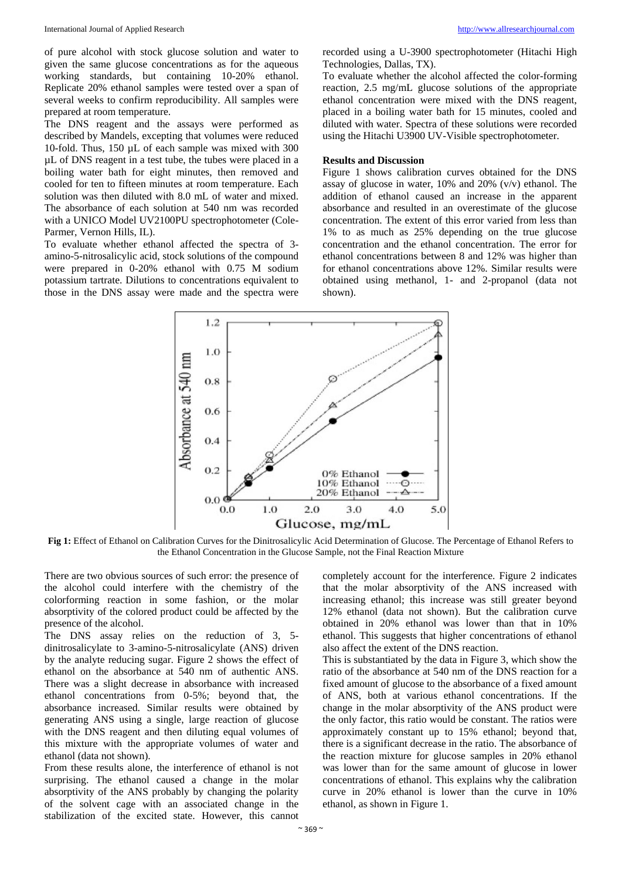of pure alcohol with stock glucose solution and water to given the same glucose concentrations as for the aqueous working standards, but containing 10-20% ethanol. Replicate 20% ethanol samples were tested over a span of several weeks to confirm reproducibility. All samples were prepared at room temperature.

The DNS reagent and the assays were performed as described by Mandels, excepting that volumes were reduced 10-fold. Thus, 150 µL of each sample was mixed with 300 µL of DNS reagent in a test tube, the tubes were placed in a boiling water bath for eight minutes, then removed and cooled for ten to fifteen minutes at room temperature. Each solution was then diluted with 8.0 mL of water and mixed. The absorbance of each solution at 540 nm was recorded with a UNICO Model UV2100PU spectrophotometer (Cole-Parmer, Vernon Hills, IL).

To evaluate whether ethanol affected the spectra of 3 amino-5-nitrosalicylic acid, stock solutions of the compound were prepared in 0-20% ethanol with 0.75 M sodium potassium tartrate. Dilutions to concentrations equivalent to those in the DNS assay were made and the spectra were

recorded using a U-3900 spectrophotometer (Hitachi High Technologies, Dallas, TX).

To evaluate whether the alcohol affected the color-forming reaction, 2.5 mg/mL glucose solutions of the appropriate ethanol concentration were mixed with the DNS reagent, placed in a boiling water bath for 15 minutes, cooled and diluted with water. Spectra of these solutions were recorded using the Hitachi U3900 UV-Visible spectrophotometer.

### **Results and Discussion**

Figure 1 shows calibration curves obtained for the DNS assay of glucose in water, 10% and 20% (v/v) ethanol. The addition of ethanol caused an increase in the apparent absorbance and resulted in an overestimate of the glucose concentration. The extent of this error varied from less than 1% to as much as 25% depending on the true glucose concentration and the ethanol concentration. The error for ethanol concentrations between 8 and 12% was higher than for ethanol concentrations above 12%. Similar results were obtained using methanol, 1- and 2-propanol (data not shown).



**Fig 1:** Effect of Ethanol on Calibration Curves for the Dinitrosalicylic Acid Determination of Glucose. The Percentage of Ethanol Refers to the Ethanol Concentration in the Glucose Sample, not the Final Reaction Mixture

There are two obvious sources of such error: the presence of the alcohol could interfere with the chemistry of the colorforming reaction in some fashion, or the molar absorptivity of the colored product could be affected by the presence of the alcohol.

The DNS assay relies on the reduction of 3, 5 dinitrosalicylate to 3-amino-5-nitrosalicylate (ANS) driven by the analyte reducing sugar. Figure 2 shows the effect of ethanol on the absorbance at 540 nm of authentic ANS. There was a slight decrease in absorbance with increased ethanol concentrations from 0-5%; beyond that, the absorbance increased. Similar results were obtained by generating ANS using a single, large reaction of glucose with the DNS reagent and then diluting equal volumes of this mixture with the appropriate volumes of water and ethanol (data not shown).

From these results alone, the interference of ethanol is not surprising. The ethanol caused a change in the molar absorptivity of the ANS probably by changing the polarity of the solvent cage with an associated change in the stabilization of the excited state. However, this cannot

completely account for the interference. Figure 2 indicates that the molar absorptivity of the ANS increased with increasing ethanol; this increase was still greater beyond 12% ethanol (data not shown). But the calibration curve obtained in 20% ethanol was lower than that in 10% ethanol. This suggests that higher concentrations of ethanol also affect the extent of the DNS reaction.

This is substantiated by the data in Figure 3, which show the ratio of the absorbance at 540 nm of the DNS reaction for a fixed amount of glucose to the absorbance of a fixed amount of ANS, both at various ethanol concentrations. If the change in the molar absorptivity of the ANS product were the only factor, this ratio would be constant. The ratios were approximately constant up to 15% ethanol; beyond that, there is a significant decrease in the ratio. The absorbance of the reaction mixture for glucose samples in 20% ethanol was lower than for the same amount of glucose in lower concentrations of ethanol. This explains why the calibration curve in 20% ethanol is lower than the curve in 10% ethanol, as shown in Figure 1.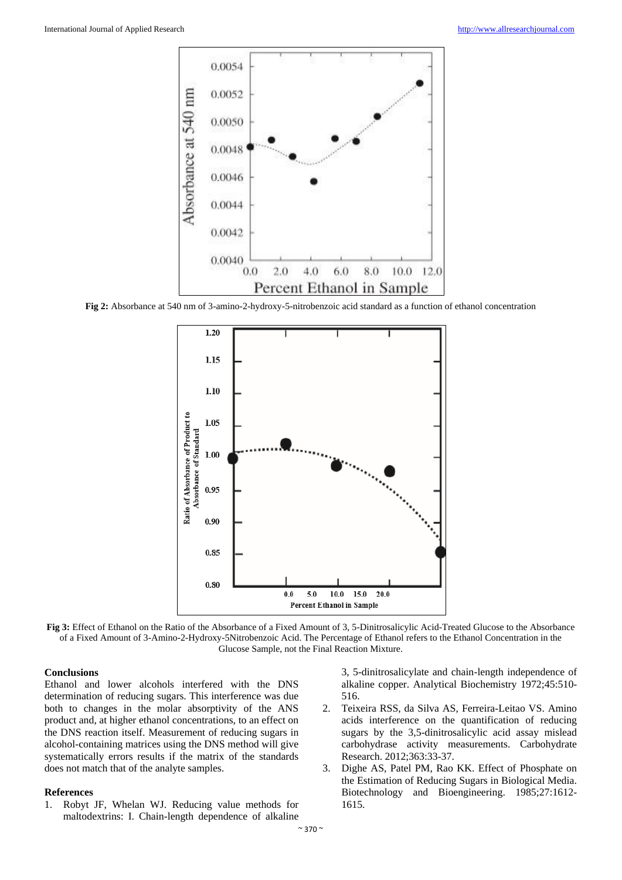

**Fig 2:** Absorbance at 540 nm of 3-amino-2-hydroxy-5-nitrobenzoic acid standard as a function of ethanol concentration



**Fig 3:** Effect of Ethanol on the Ratio of the Absorbance of a Fixed Amount of 3, 5-Dinitrosalicylic Acid-Treated Glucose to the Absorbance of a Fixed Amount of 3-Amino-2-Hydroxy-5Nitrobenzoic Acid. The Percentage of Ethanol refers to the Ethanol Concentration in the Glucose Sample, not the Final Reaction Mixture.

# **Conclusions**

Ethanol and lower alcohols interfered with the DNS determination of reducing sugars. This interference was due both to changes in the molar absorptivity of the ANS product and, at higher ethanol concentrations, to an effect on the DNS reaction itself. Measurement of reducing sugars in alcohol-containing matrices using the DNS method will give systematically errors results if the matrix of the standards does not match that of the analyte samples.

#### **References**

1. Robyt JF, Whelan WJ. Reducing value methods for maltodextrins: I. Chain-length dependence of alkaline

3, 5-dinitrosalicylate and chain-length independence of alkaline copper. Analytical Biochemistry 1972;45:510- 516.

- 2. Teixeira RSS, da Silva AS, Ferreira-Leitao VS. Amino acids interference on the quantification of reducing sugars by the 3,5-dinitrosalicylic acid assay mislead carbohydrase activity measurements. Carbohydrate Research. 2012;363:33-37.
- 3. Dighe AS, Patel PM, Rao KK. Effect of Phosphate on the Estimation of Reducing Sugars in Biological Media. Biotechnology and Bioengineering. 1985;27:1612- 1615.